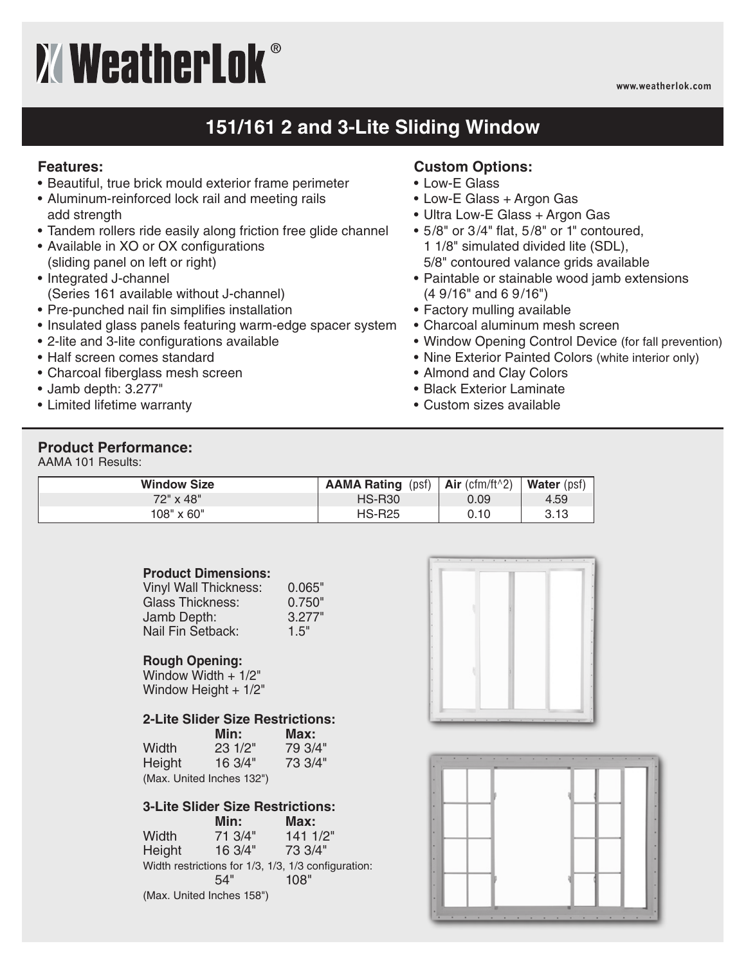# **XWeatherLok**®

**www.weatherlok.com**

## **151/161 2 and 3-Lite Sliding Window**

#### **Features:**

- Beautiful, true brick mould exterior frame perimeter
- Aluminum-reinforced lock rail and meeting rails add strength
- Tandem rollers ride easily along friction free glide channel
- Available in XO or OX configurations (sliding panel on left or right)
- Integrated J-channel (Series 161 available without J-channel)
- Pre-punched nail fin simplifies installation
- Insulated glass panels featuring warm-edge spacer system
- 2-lite and 3-lite configurations available
- Half screen comes standard
- Charcoal fiberglass mesh screen
- Jamb depth: 3.277"
- Limited lifetime warranty

### **Custom Options:**

- Low-E Glass
- Low-E Glass + Argon Gas
- Ultra Low-E Glass + Argon Gas
- 5/8" or 3/4" flat, 5/8" or 1" contoured, 1 1/8" simulated divided lite (SDL), 5/8" contoured valance grids available
- Paintable or stainable wood jamb extensions (4 9/16" and 6 9/16")
- Factory mulling available
- Charcoal aluminum mesh screen
- Window Opening Control Device (for fall prevention)
- Nine Exterior Painted Colors (white interior only)
- Almond and Clay Colors
- Black Exterior Laminate
- Custom sizes available

#### **Product Performance:**

AAMA 101 Results:

| <b>Window Size</b> | <b>AAMA Rating (psf)</b> | Air (cfm/ft $\uparrow$ 2) | Water (psf) |
|--------------------|--------------------------|---------------------------|-------------|
| 72" x 48"          | <b>HS-R30</b>            | 0.09                      | 4.59        |
| $108" \times 60"$  | <b>HS-R25</b>            | 0.10                      | 3.13        |

#### **Product Dimensions:**

| Vinyl Wall Thickness:   | 0.065" |
|-------------------------|--------|
| <b>Glass Thickness:</b> | 0.750" |
| Jamb Depth:             | 3.277" |
| Nail Fin Setback:       | 1.5"   |

#### **Rough Opening:**

Window Width + 1/2" Window Height + 1/2"

#### **2-Lite Slider Size Restrictions:**

|        | Min:                      | Max:    |
|--------|---------------------------|---------|
| Width  | 231/2"                    | 79 3/4" |
| Height | 16.3/4"                   | 73 3/4" |
|        | (Max. United Inches 132") |         |

#### **3-Lite Slider Size Restrictions:**

**Min: Max:** Width 71 3/4" 141 1/2" Height 16 3/4" 73 3/4" Width restrictions for 1/3, 1/3, 1/3 configuration:<br>54" 108" 54" 108" (Max. United Inches 158")